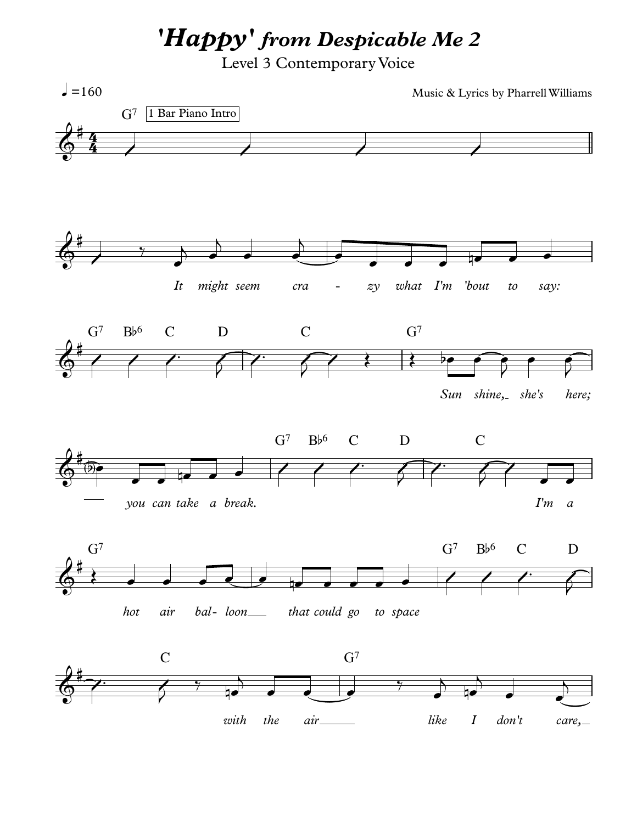*'Happy' from Despicable Me 2*

Level 3 Contemporary Voice

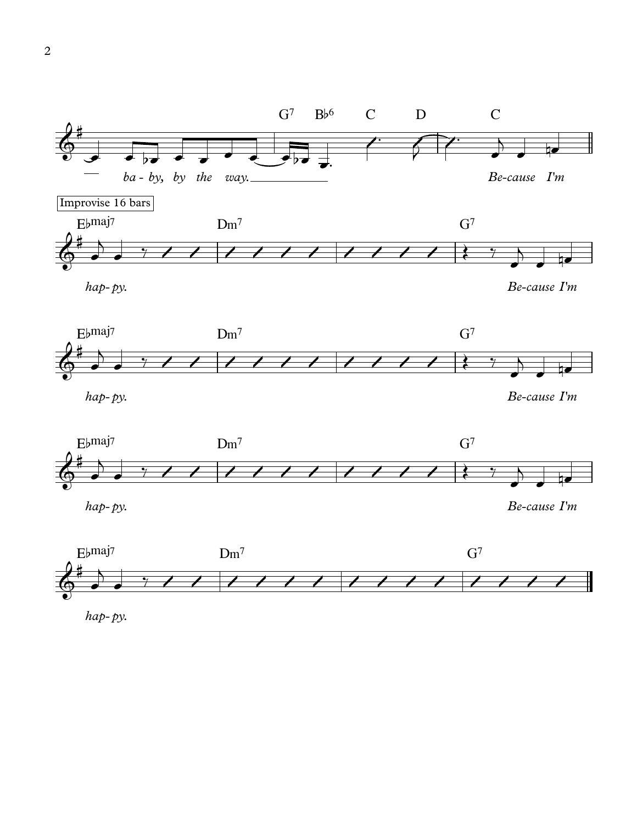

*hap* - *py.*

*Be*-*cause I'm*



*hap* - *py.*

*Be*-*cause I'm*





*hap* - *py.*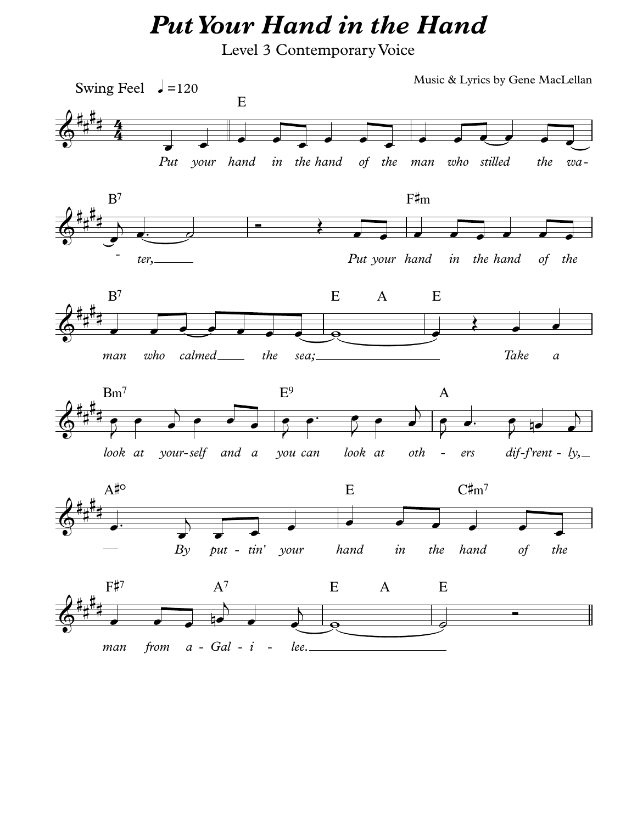## *PutYour Hand in the Hand*

Level 3 Contemporary Voice

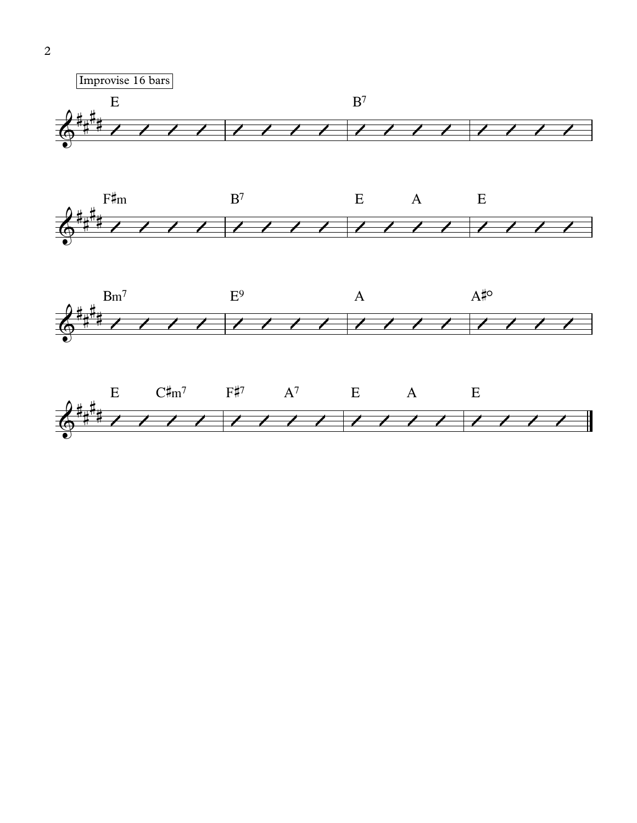





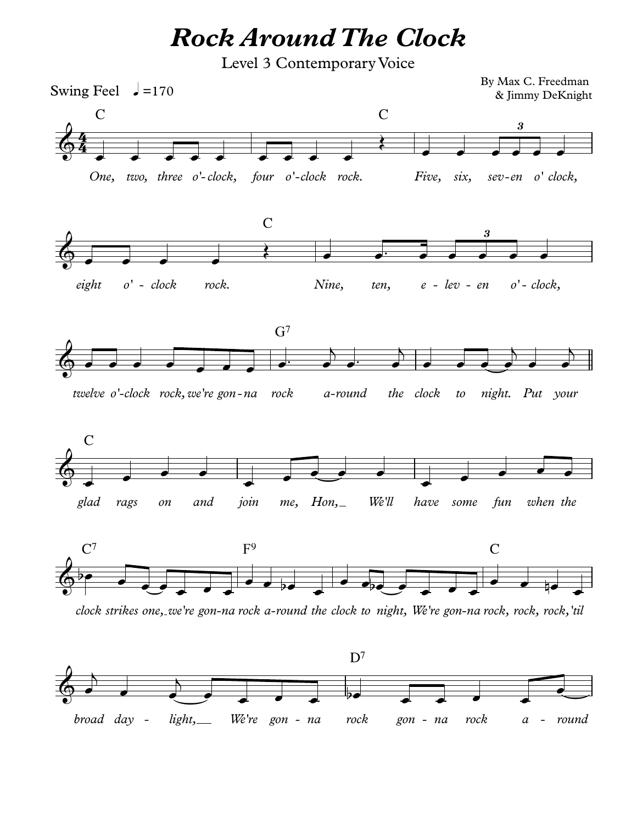*Rock Around The Clock*

Level 3 Contemporary Voice